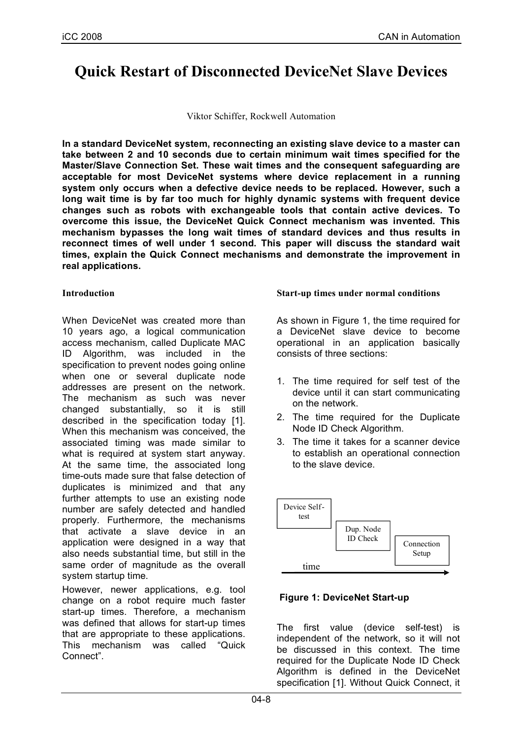# **Quick Restart of Disconnected DeviceNet Slave Devices**

Viktor Schiffer, Rockwell Automation

**In a standard DeviceNet system, reconnecting an existing slave device to a master can take between 2 and 10 seconds due to certain minimum wait times specified for the Master/Slave Connection Set. These wait times and the consequent safeguarding are acceptable for most DeviceNet systems where device replacement in a running system only occurs when a defective device needs to be replaced. However, such a long wait time is by far too much for highly dynamic systems with frequent device changes such as robots with exchangeable tools that contain active devices. To overcome this issue, the DeviceNet Quick Connect mechanism was invented. This mechanism bypasses the long wait times of standard devices and thus results in reconnect times of well under 1 second. This paper will discuss the standard wait times, explain the Quick Connect mechanisms and demonstrate the improvement in real applications.**

## **Introduction**

When DeviceNet was created more than 10 years ago, a logical communication access mechanism, called Duplicate MAC ID Algorithm, was included in the specification to prevent nodes going online when one or several duplicate node addresses are present on the network. The mechanism as such was never changed substantially, so it is still described in the specification today [1]. When this mechanism was conceived, the associated timing was made similar to what is required at system start anyway. At the same time, the associated long time-outs made sure that false detection of duplicates is minimized and that any further attempts to use an existing node number are safely detected and handled properly. Furthermore, the mechanisms that activate a slave device in an application were designed in a way that also needs substantial time, but still in the same order of magnitude as the overall system startup time.

However, newer applications, e.g. tool change on a robot require much faster start-up times. Therefore, a mechanism was defined that allows for start-up times that are appropriate to these applications. This mechanism was called "Quick Connect".

#### **Start-up times under normal conditions**

As shown in Figure 1, the time required for a DeviceNet slave device to become operational in an application basically consists of three sections:

- 1. The time required for self test of the device until it can start communicating on the network.
- 2. The time required for the Duplicate Node ID Check Algorithm.
- 3. The time it takes for a scanner device to establish an operational connection to the slave device.



# **Figure 1: DeviceNet Start-up**

The first value (device self-test) is independent of the network, so it will not be discussed in this context. The time required for the Duplicate Node ID Check Algorithm is defined in the DeviceNet specification [1]. Without Quick Connect, it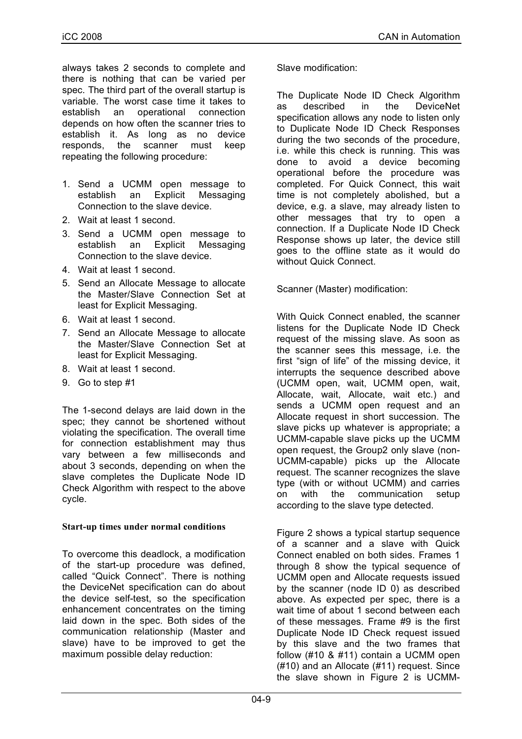always takes 2 seconds to complete and there is nothing that can be varied per spec. The third part of the overall startup is variable. The worst case time it takes to establish an operational connection depends on how often the scanner tries to establish it. As long as no device responds, the scanner must keep repeating the following procedure:

- 1. Send a UCMM open message to establish an Explicit Messaging Connection to the slave device.
- 2. Wait at least 1 second.
- 3. Send a UCMM open message to establish an Explicit Messaging Connection to the slave device.
- 4. Wait at least 1 second.
- 5. Send an Allocate Message to allocate the Master/Slave Connection Set at least for Explicit Messaging.
- 6. Wait at least 1 second.
- 7. Send an Allocate Message to allocate the Master/Slave Connection Set at least for Explicit Messaging.
- 8. Wait at least 1 second.
- 9. Go to step #1

The 1-second delays are laid down in the spec; they cannot be shortened without violating the specification. The overall time for connection establishment may thus vary between a few milliseconds and about 3 seconds, depending on when the slave completes the Duplicate Node ID Check Algorithm with respect to the above cycle.

# **Start-up times under normal conditions**

To overcome this deadlock, a modification of the start-up procedure was defined, called "Quick Connect". There is nothing the DeviceNet specification can do about the device self-test, so the specification enhancement concentrates on the timing laid down in the spec. Both sides of the communication relationship (Master and slave) have to be improved to get the maximum possible delay reduction:

Slave modification:

The Duplicate Node ID Check Algorithm as described in the DeviceNet specification allows any node to listen only to Duplicate Node ID Check Responses during the two seconds of the procedure, i.e. while this check is running. This was done to avoid a device becoming operational before the procedure was completed. For Quick Connect, this wait time is not completely abolished, but a device, e.g. a slave, may already listen to other messages that try to open a connection. If a Duplicate Node ID Check Response shows up later, the device still goes to the offline state as it would do without Quick Connect.

Scanner (Master) modification:

With Quick Connect enabled, the scanner listens for the Duplicate Node ID Check request of the missing slave. As soon as the scanner sees this message, i.e. the first "sign of life" of the missing device, it interrupts the sequence described above (UCMM open, wait, UCMM open, wait, Allocate, wait, Allocate, wait etc.) and sends a UCMM open request and an Allocate request in short succession. The slave picks up whatever is appropriate; a UCMM-capable slave picks up the UCMM open request, the Group2 only slave (non-UCMM-capable) picks up the Allocate request. The scanner recognizes the slave type (with or without UCMM) and carries on with the communication setup according to the slave type detected.

Figure 2 shows a typical startup sequence of a scanner and a slave with Quick Connect enabled on both sides. Frames 1 through 8 show the typical sequence of UCMM open and Allocate requests issued by the scanner (node ID 0) as described above. As expected per spec, there is a wait time of about 1 second between each of these messages. Frame #9 is the first Duplicate Node ID Check request issued by this slave and the two frames that follow (#10 & #11) contain a UCMM open (#10) and an Allocate (#11) request. Since the slave shown in Figure 2 is UCMM-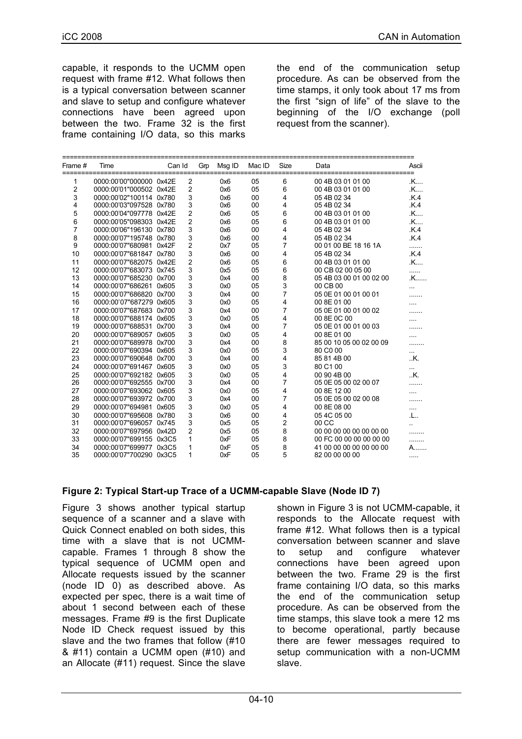capable, it responds to the UCMM open request with frame #12. What follows then is a typical conversation between scanner and slave to setup and configure whatever connections have been agreed upon between the two. Frame 32 is the first frame containing I/O data, so this marks

the end of the communication setup procedure. As can be observed from the time stamps, it only took about 17 ms from the first "sign of life" of the slave to the beginning of the I/O exchange (poll request from the scanner).

| Frame # | Time                    | Can Id |                           | Gm | Msg ID | Mac ID | <b>Size</b>    | Data                    | Ascii          |
|---------|-------------------------|--------|---------------------------|----|--------|--------|----------------|-------------------------|----------------|
| 1       | 0000:00'00"000000 0x42E |        | $\overline{2}$            |    | 0x6    | 05     | 6              | 00 4B 03 01 01 00       | .K             |
| 2       | 0000:00'01"000502 0x42E |        | $\overline{c}$            |    | 0x6    | 05     | 6              | 00 4B 03 01 01 00       | .K             |
| 3       | 0000:00'02"100114 0x780 |        | 3                         |    | 0x6    | 00     | 4              | 05 4B 02 34             | K.4            |
| 4       | 0000:00'03"097528 0x780 |        | 3                         |    | 0x6    | 00     | 4              | 05 4B 02 34             | K.4            |
| 5       | 0000:00'04"097778 0x42E |        | $\overline{2}$            |    | 0x6    | 05     | 6              | 00 4B 03 01 01 00       | .K             |
| 6       | 0000:00'05"098303 0x42E |        | $\overline{2}$            |    | 0x6    | 05     | 6              | 00 4B 03 01 01 00       | .K             |
| 7       | 0000:00'06"196130 0x780 |        | 3                         |    | 0x6    | 00     | 4              | 05 4B 02 34             | K.4            |
| 8       | 0000:00'07"195748 0x780 |        | $\mathsf 3$               |    | 0x6    | 00     | 4              | 054B0234                | K.4            |
| 9       | 0000:00'07"680981 0x42F |        | $\boldsymbol{2}$          |    | 0x7    | 05     | 7              | 00 01 00 BE 18 16 1A    | .              |
| 10      | 0000:00'07"681847 0x780 |        | $\mathsf 3$               |    | 0x6    | 00     | 4              | 05 4B 02 34             | K <sub>4</sub> |
| 11      | 0000:00'07"682075 0x42E |        | $\overline{2}$            |    | 0x6    | 05     | 6              | 00 4B 03 01 01 00       | .K             |
| 12      | 0000:00'07"683073 0x745 |        | $\mathsf 3$               |    | 0x5    | 05     | 6              | 00 CB 02 00 05 00       | .              |
| 13      | 0000:00'07"685230 0x700 |        | $\ensuremath{\mathsf{3}}$ |    | 0x4    | 00     | 8              | 05 4B 03 00 01 00 02 00 | .K             |
| 14      | 0000:00'07"686261 0x605 |        | $\mathsf 3$               |    | 0x0    | 05     | 3              | 00 CB 00                |                |
| 15      | 0000:00'07"686820 0x700 |        | 3                         |    | 0x4    | 00     | $\overline{7}$ | 05 0E 01 00 01 00 01    |                |
| 16      | 0000:00'07"687279 0x605 |        | 3                         |    | 0x0    | 05     | $\overline{4}$ | 00 8E 01 00             |                |
| 17      | 0000:00'07"687683 0x700 |        | 3                         |    | 0x4    | 00     | 7              | 05 0E 01 00 01 00 02    |                |
| 18      | 0000:00'07"688174 0x605 |        | $\mathbf{3}$              |    | 0x0    | 05     | 4              | 00 8E 0C 00             |                |
| 19      | 0000:00'07"688531 0x700 |        | $\mathbf{3}$              |    | 0x4    | 00     | 7              | 05 0E 01 00 01 00 03    |                |
| 20      | 0000:00'07"689057 0x605 |        | $\mathsf 3$               |    | 0x0    | 05     | 4              | 00 8E 01 00             |                |
| 21      | 0000:00'07"689978 0x700 |        | $\mathsf 3$               |    | 0x4    | 00     | 8              | 85 00 10 05 00 02 00 09 |                |
| 22      | 0000:00'07"690394 0x605 |        | $\overline{3}$            |    | 0x0    | 05     | 3              | 80 CO 00                | $\cdots$       |
| 23      | 0000:00'07"690648 0x700 |        | 3                         |    | 0x4    | 00     | 4              | 85 81 4B 00             | K.             |
| 24      | 0000:00'07"691467 0x605 |        | 3                         |    | 0x0    | 05     | 3              | 80 C1 00                | .              |
| 25      | 0000:00'07"692182 0x605 |        | 3                         |    | 0x0    | 05     | 4              | 00 90 4B 00             | K.             |
| 26      | 0000:00'07"692555 0x700 |        | 3                         |    | 0x4    | 00     | 7              | 05 0E 05 00 02 00 07    |                |
| 27      | 0000:00'07"693062 0x605 |        | 3                         |    | 0x0    | 05     | 4              | 00 8E 12 00             |                |
| 28      | 0000:00'07"693972 0x700 |        | 3                         |    | 0x4    | 00     | 7              | 05 0E 05 00 02 00 08    |                |
| 29      | 0000:00'07"694981 0x605 |        | 3                         |    | 0x0    | 05     | 4              | 00 8E 08 00             |                |
| 30      | 0000:00'07"695608 0x780 |        | 3                         |    | 0x6    | 00     | 4              | 05 4C 05 00             | .L             |
| 31      | 0000:00'07"696057 0x745 |        | 3                         |    | 0x5    | 05     | 2              | 00 CC                   |                |
| 32      | 0000:00'07"697956 0x42D |        | $\overline{2}$            |    | 0x5    | 05     | 8              | 00 00 00 00 00 00 00 00 |                |
| 33      | 0000:00'07"699155 0x3C5 |        | $\mathbf{1}$              |    | 0xF    | 05     | 8              | 00 FC 00 00 00 00 00 00 |                |
| 34      | 0000:00'07"699977 0x3C5 |        | 1                         |    | 0xF    | 05     | 8              | 41 00 00 00 00 00 00 00 | Α.             |
| 35      | 0000:00'07"700290 0x3C5 |        | 1                         |    | 0xF    | 05     | 5              | 82 00 00 00 00          | .              |

# **Figure 2: Typical Start-up Trace of a UCMM-capable Slave (Node ID 7)**

Figure 3 shows another typical startup sequence of a scanner and a slave with Quick Connect enabled on both sides, this time with a slave that is not UCMMcapable. Frames 1 through 8 show the typical sequence of UCMM open and Allocate requests issued by the scanner (node ID 0) as described above. As expected per spec, there is a wait time of about 1 second between each of these messages. Frame #9 is the first Duplicate Node ID Check request issued by this slave and the two frames that follow (#10 & #11) contain a UCMM open (#10) and an Allocate (#11) request. Since the slave

shown in Figure 3 is not UCMM-capable, it responds to the Allocate request with frame #12. What follows then is a typical conversation between scanner and slave to setup and configure whatever connections have been agreed upon between the two. Frame 29 is the first frame containing I/O data, so this marks the end of the communication setup procedure. As can be observed from the time stamps, this slave took a mere 12 ms to become operational, partly because there are fewer messages required to setup communication with a non-UCMM slave.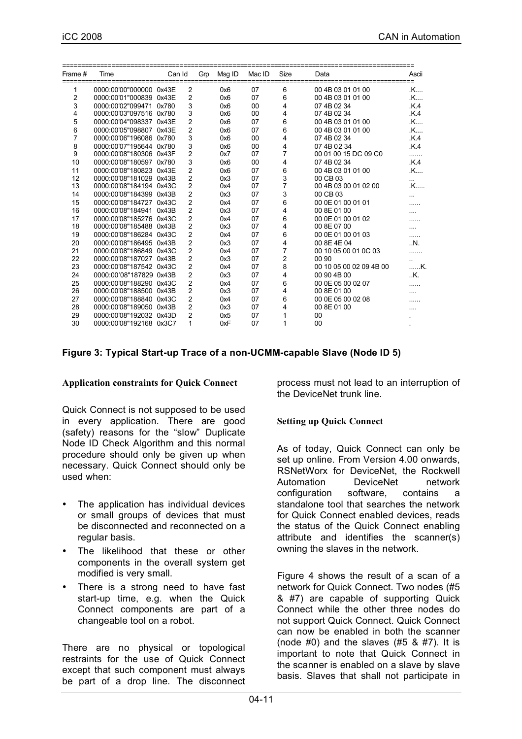| Frame # | Time                    | Can Id |                | Gm | Msg ID | Mac ID | Size           | Data                    | Ascii          |
|---------|-------------------------|--------|----------------|----|--------|--------|----------------|-------------------------|----------------|
|         | 0000:00'00"000000 0x43E |        | 2              |    | 0x6    | 07     | 6              | 00 4B 03 01 01 00       | .K             |
| 2       | 0000:00'01"000839 0x43E |        | $\overline{2}$ |    | 0x6    | 07     | 6              | 00 4B 03 01 01 00       | .K             |
| 3       | 0000:00'02"099471 0x780 |        | 3              |    | 0x6    | 00     | 4              | 07 4B 02 34             | K.4            |
| 4       | 0000:00'03"097516 0x780 |        | 3              |    | 0x6    | 00     | 4              | 07 4B 02 34             | K.4            |
| 5       | 0000:00'04"098337 0x43E |        | 2              |    | 0x6    | 07     | 6              | 00 4B 03 01 01 00       | .K             |
| 6       | 0000:00'05"098807 0x43E |        | 2              |    | 0x6    | 07     | 6              | 00 4B 03 01 01 00       | .K             |
| 7       | 0000:00'06"196086 0x780 |        | 3              |    | 0x6    | 00     | 4              | 07 4B 02 34             | K.4            |
| 8       | 0000:00'07"195644 0x780 |        | 3              |    | 0x6    | 00     | 4              | 074B0234                | K.4            |
| 9       | 0000:00'08"180306 0x43F |        | 2              |    | 0x7    | 07     | $\overline{7}$ | 00 01 00 15 DC 09 C0    |                |
| 10      | 0000:00'08"180597 0x780 |        | 3              |    | 0x6    | 00     | 4              | 07 4B 02 34             | K.4            |
| 11      | 0000:00'08"180823 0x43E |        | $\overline{2}$ |    | 0x6    | 07     | 6              | 00 4B 03 01 01 00       | .K             |
| 12      | 0000:00'08"181029 0x43B |        | 2              |    | 0x3    | 07     | 3              | 00 CB 03                |                |
| 13      | 0000:00'08"184194 0x43C |        | 2              |    | 0x4    | 07     | $\overline{7}$ | 00 4B 03 00 01 02 00    | .K             |
| 14      | 0000:00'08"184399 0x43B |        | 2              |    | 0x3    | 07     | 3              | 00 CB 03                |                |
| 15      | 0000:00'08"184727 0x43C |        | 2              |    | 0x4    | 07     | 6              | 00 0E 01 00 01 01       |                |
| 16      | 0000:00'08"184941 0x43B |        | 2              |    | 0x3    | 07     | 4              | 00 8E 01 00             |                |
| 17      | 0000:00'08"185276 0x43C |        | 2              |    | 0x4    | 07     | 6              | 00 0E 01 00 01 02       |                |
| 18      | 0000:00'08"185488 0x43B |        | 2              |    | 0x3    | 07     | 4              | 00 8E 07 00             |                |
| 19      | 0000:00'08"186284 0x43C |        | 2              |    | 0x4    | 07     | 6              | 00 0E 01 00 01 03       |                |
| 20      | 0000:00'08"186495 0x43B |        | 2              |    | 0x3    | 07     | 4              | 00 8E 4E 04             | $\mathbf{N}$ . |
| 21      | 0000:00'08"186849 0x43C |        | 2              |    | 0x4    | 07     | $\overline{7}$ | 00 10 05 00 01 0C 03    |                |
| 22      | 0000:00'08"187027 0x43B |        | 2              |    | 0x3    | 07     | $\overline{2}$ | 00 90                   |                |
| 23      | 0000:00'08"187542 0x43C |        | 2              |    | 0x4    | 07     | 8              | 00 10 05 00 02 09 4B 00 | K.             |
| 24      | 0000:00'08"187829 0x43B |        | 2              |    | 0x3    | 07     | 4              | 00 90 4B 00             | . K.           |
| 25      | 0000:00'08"188290 0x43C |        | 2              |    | 0x4    | 07     | 6              | 00 0E 05 00 02 07       |                |
| 26      | 0000:00'08"188500 0x43B |        | 2              |    | 0x3    | 07     | 4              | 00 8E 01 00             |                |
| 27      | 0000:00'08"188840 0x43C |        | 2              |    | 0x4    | 07     | 6              | 00 0E 05 00 02 08       |                |
| 28      | 0000:00'08"189050 0x43B |        | 2              |    | 0x3    | 07     | 4              | 00 8E 01 00             |                |
| 29      | 0000:00'08"192032 0x43D |        | 2              |    | 0x5    | 07     | 1              | 00                      |                |
| 30      | 0000:00'08"192168 0x3C7 |        | 1              |    | 0xF    | 07     | 1              | 00                      |                |

#### **Figure 3: Typical Start-up Trace of a non-UCMM-capable Slave (Node ID 5)**

#### **Application constraints for Quick Connect**

Quick Connect is not supposed to be used in every application. There are good (safety) reasons for the "slow" Duplicate Node ID Check Algorithm and this normal procedure should only be given up when necessary. Quick Connect should only be used when:

- The application has individual devices or small groups of devices that must be disconnected and reconnected on a regular basis.
- The likelihood that these or other components in the overall system get modified is very small.
- There is a strong need to have fast start-up time, e.g. when the Quick Connect components are part of a changeable tool on a robot.

There are no physical or topological restraints for the use of Quick Connect except that such component must always be part of a drop line. The disconnect

process must not lead to an interruption of the DeviceNet trunk line.

#### **Setting up Quick Connect**

As of today, Quick Connect can only be set up online. From Version 4.00 onwards, RSNetWorx for DeviceNet, the Rockwell Automation DeviceNet network configuration software, contains a standalone tool that searches the network for Quick Connect enabled devices, reads the status of the Quick Connect enabling attribute and identifies the scanner(s) owning the slaves in the network.

Figure 4 shows the result of a scan of a network for Quick Connect. Two nodes (#5 & #7) are capable of supporting Quick Connect while the other three nodes do not support Quick Connect. Quick Connect can now be enabled in both the scanner (node  $#0$ ) and the slaves  $#5$  &  $#7$ ). It is important to note that Quick Connect in the scanner is enabled on a slave by slave basis. Slaves that shall not participate in